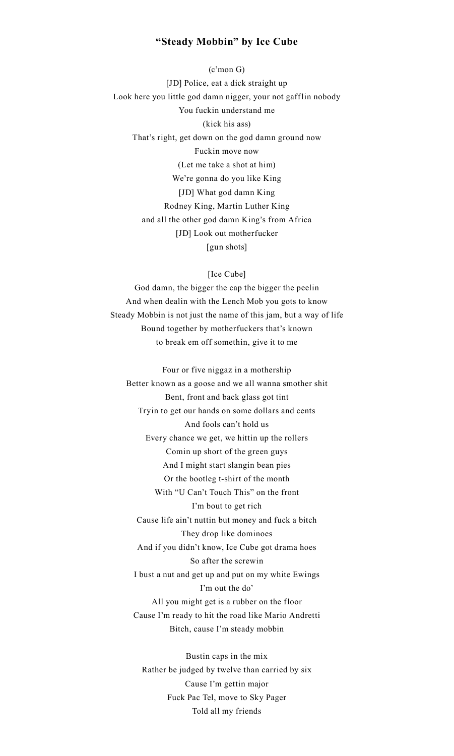## **"Steady Mobbin" by Ice Cube**

(c'mon G) [JD] Police, eat a dick straight up Look here you little god damn nigger, your not gafflin nobody You fuckin understand me (kick his ass) That's right, get down on the god damn ground now Fuckin move now (Let me take a shot at him) We're gonna do you like King [JD] What god damn King Rodney King, Martin Luther King and all the other god damn King's from Africa [JD] Look out motherfucker [gun shots]

[Ice Cube]

God damn, the bigger the cap the bigger the peelin And when dealin with the Lench Mob you gots to know Steady Mobbin is not just the name of this jam, but a way of life Bound together by motherfuckers that's known to break em off somethin, give it to me

Four or five niggaz in a mothership Better known as a goose and we all wanna smother shit Bent, front and back glass got tint Tryin to get our hands on some dollars and cents And fools can't hold us Every chance we get, we hittin up the rollers Comin up short of the green guys And I might start slangin bean pies Or the bootleg t-shirt of the month With "U Can't Touch This" on the front I'm bout to get rich Cause life ain't nuttin but money and fuck a bitch They drop like dominoes And if you didn't know, Ice Cube got drama hoes So after the screwin I bust a nut and get up and put on my white Ewings I'm out the do' All you might get is a rubber on the floor Cause I'm ready to hit the road like Mario Andretti Bitch, cause I'm steady mobbin

Bustin caps in the mix Rather be judged by twelve than carried by six Cause I'm gettin major Fuck Pac Tel, move to Sky Pager Told all my friends